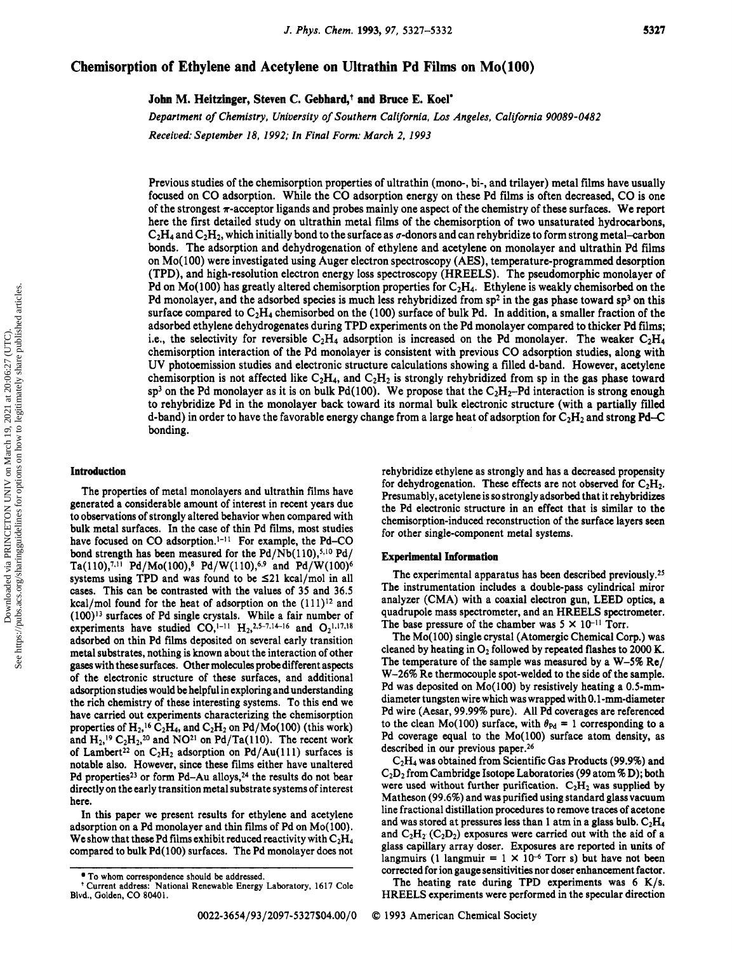# Chemisorption of Ethylene and Acetylene on Uitrathin Pd Films on Mo(100)

John M. Heitzinger, Steven C. Gebhard,<sup>†</sup> and Bruce E. Koel<sup>\*</sup>

Department of Chemistry, University of Southern California, Los Angeles, California 90089-0482 Received: September 18, 1992; In Final Form: March 2, 1993

Previous studies of the chemisorption properties of uitrathin (mono-, bi-, and trilayer) metal films have usually focused on CO adsorption. While the CO adsorption energy on these Pd films is often decreased, CO is one of the strongest  $\pi$ -acceptor ligands and probes mainly one aspect of the chemistry of these surfaces. We report here the first detailed study on uitrathin metal films of the chemisorption of two unsaturated hydrocarbons,  $C_2H_4$  and  $C_2H_2$ , which initially bond to the surface as  $\sigma$ -donors and can rehybridize to form strong metal-carbon bonds. The adsorption and dehydrogenation of ethylene and acetylene on monolayer and uitrathin Pd films on Mo(100) were investigated using Auger electron spectroscopy (AES), temperature-programmed desorption (TPD), and high-resolution electron energy loss spectroscopy (HREELS). The pseudomorphic monolayer of Pd on Mo(100) has greatly altered chemisorption properties for  $C_2H_4$ . Ethylene is weakly chemisorbed on the Pd monolayer, and the adsorbed species is much less rehybridized from  $sp^2$  in the gas phase toward  $sp^3$  on this surface compared to  $C_2H_4$  chemisorbed on the (100) surface of bulk Pd. In addition, a smaller fraction of the adsorbed ethylene dehydrogenates during TPD experiments on the Pd monolayer compared to thicker Pd films; i.e., the selectivity for reversible  $C_2H_4$  adsorption is increased on the Pd monolayer. The weaker  $C_2H_4$ chemisorption interaction of the Pd monolayer is consistent with previous CO adsorption studies, along with UV photoemission studies and electronic structure calculations showing <sup>a</sup> filled d-band. However, acetylene chemisorption is not affected like  $C_2H_4$ , and  $C_2H_2$  is strongly rehybridized from sp in the gas phase toward sp<sup>3</sup> on the Pd monolayer as it is on bulk Pd(100). We propose that the  $C_2H_2$ -Pd interaction is strong enough to rehybridize Pd in the monolayer back toward its normal bulk electronic structure (with <sup>a</sup> partially filled d-band) in order to have the favorable energy change from a large heat of adsorption for  $C_2H_2$  and strong Pd-C bonding.

# Introduction

The properties of metal monolayers and uitrathin films have generated <sup>a</sup> considerable amount of interest in recent years due to observations of strongly altered behavior when compared with bulk metal surfaces. In the case of thin Pd films, most studies have focused on  $CO$  adsorption.<sup>1-11</sup> For example, the Pd-CO bond strength has been measured for the  $Pd/Nb(110),$ <sup>5,10</sup> Pd/ Ta(110),7,11 Pd/Mo(100),8 Pd/W(110),6,9 and Pd/W(100)6 systems using TPD and was found to be  $\leq 21$  kcal/mol in all cases. This can be contrasted with the values of 35 and 36.5 kcal/mol found for the heat of adsorption on the  $(111)^{12}$  and (100)13 surfaces of Pd single crystals. While <sup>a</sup> fair number of experiments have studied CO,<sup>1-11</sup> H<sub>2</sub>,<sup>2,5-7,14-16</sup> and O<sub>2</sub><sup>1,17,18</sup> adsorbed on thin Pd films deposited on several early transition metal substrates, nothing is known about the interaction of other gases with these surfaces. Other molecules probe different aspects of the electronic structure of these surfaces, and additional adsorption studies would be helpful in exploring and understanding the rich chemistry of these interesting systems. To this end we have carried out experiments characterizing the chemisorption properties of  $H_2$ ,<sup>16</sup> C<sub>2</sub>H<sub>4</sub>, and C<sub>2</sub>H<sub>2</sub> on Pd/Mo(100) (this work) and  $H_2$ ,<sup>19</sup> C<sub>2</sub>H<sub>2</sub>,<sup>20</sup> and NO<sup>21</sup> on Pd/Ta(110). The recent work of Lambert<sup>22</sup> on  $C_2H_2$  adsorption on Pd/Au(111) surfaces is notable also. However, since these films either have unaltered Pd properties<sup>23</sup> or form Pd-Au alloys,<sup>24</sup> the results do not bear directly on the early transition metal substrate systems of interest here.

In this paper we present results for ethylene and acetylene adsorption on <sup>a</sup> Pd monolayer and thin films of Pd on Mo(100). We show that these Pd films exhibit reduced reactivity with  $C_2H_4$ compared to bulk Pd(100) surfaces. The Pd monolayer does not rehybridize ethylene as strongly and has <sup>a</sup> decreased propensity for dehydrogenation. These effects are not observed for  $C_2H_2$ . Presumably, acetylene is so strongly adsorbed that it rehybridizes the Pd electronic structure in an effect that is similar to the chemisorption-induced reconstruction of the surface layers seen for other single-component metal systems.

# Experimental Information

The experimental apparatus has been described previously.25 The instrumentation includes <sup>a</sup> double-pass cylindrical miror analyzer (CMA) with <sup>a</sup> coaxial electron gun, LEED optics, <sup>a</sup> quadrupole mass spectrometer, and an HREELS spectrometer. The base pressure of the chamber was  $5 \times 10^{-11}$  Torr.

The Mo(100) single crystal (Atomergic Chemical Corp.) was cleaned by heating in  $O_2$  followed by repeated flashes to 2000 K. The temperature of the sample was measured by <sup>a</sup> W-5% Re/ W-26% Re thermocouple spot-welded to the side of the sample. Pd was deposited on Mo(100) by resistively heating <sup>a</sup> 0.5-mmdiameter tungsten wire which was wrapped with 0.1 -mm-diameter Pd wire (Aesar, 99.99% pure). All Pd coverages are referenced to the clean Mo(100) surface, with  $\theta_{\text{Pd}} = 1$  corresponding to a Pd coverage equal to the Mo(100) surface atom density, as described in our previous paper.26

 $C_2H_4$  was obtained from Scientific Gas Products (99.9%) and  $C_2D_2$  from Cambridge Isotope Laboratories (99 atom  $\%$  D); both were used without further purification.  $C_2H_2$  was supplied by Matheson (99.6%) and was purified using standard glass vacuum line fractional distillation procedures to remove traces of acetone and was stored at pressures less than 1 atm in a glass bulb.  $C_2H_4$ and  $C_2H_2(C_2D_2)$  exposures were carried out with the aid of a glass capillary array doser. Exposures are reported in units of langmuirs (1 langmuir =  $1 \times 10^{-6}$  Torr s) but have not been corrected for ion gauge sensitivities nor doser enhancement factor.

The heating rate during TPD experiments was <sup>6</sup> K/s. HREELS experiments were performed in the specular direction

<sup>•</sup> To whom correspondence should be addressed.

<sup>f</sup> Current address: National Renewable Energy Laboratory, <sup>1617</sup> Cole Blvd., Golden, CO 80401.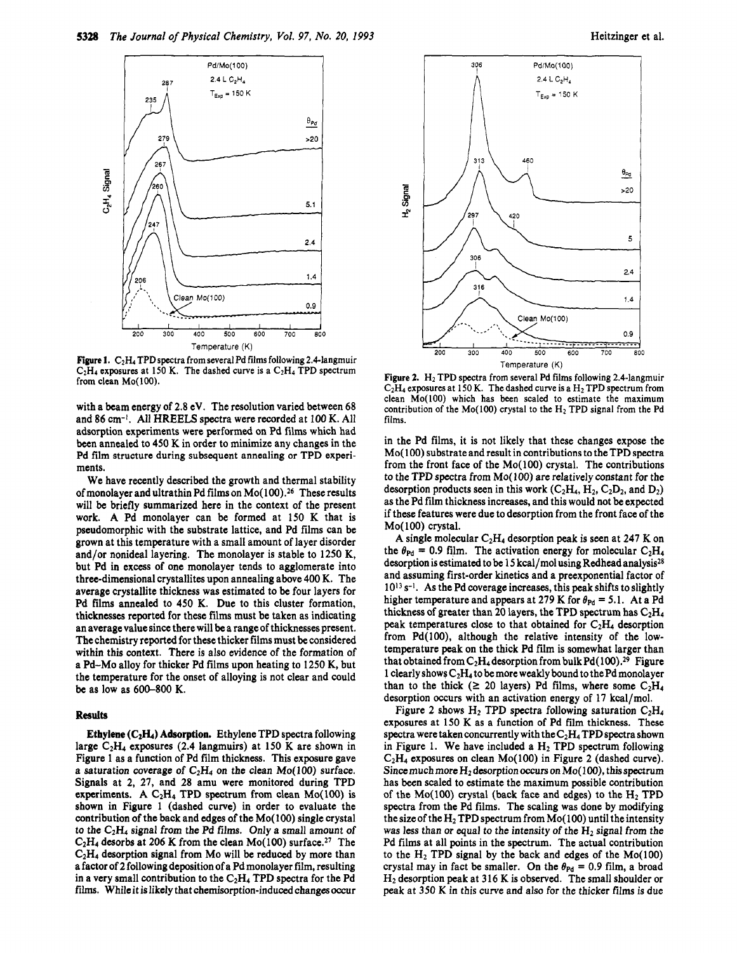

**Figure 1.**  $C_2H_4$  TPD spectra from several Pd films following 2.4-langmuir  $C_2H_4$  exposures at 150 K. The dashed curve is a  $C_2H_4$  TPD spectrum from clean Mo(100).

with <sup>a</sup> beam energy of 2.8 eV. The resolution varied between 68 and 86 cm<sup>-1</sup>. All HREELS spectra were recorded at 100 K. All adsorption experiments were performed on Pd films which had been annealed to 450 K in order to minimize any changes in the Pd film structure during subsequent annealing or TPD experiments.

We have recently described the growth and thermal stability of monolayer and ultrathin Pd films on Mo(100).26 These results will be briefly summarized here in the context of the present work. A Pd monolayer can be formed at <sup>150</sup> K that is pseudomorphic with the substrate lattice, and Pd films can be grown at this temperature with <sup>a</sup> small amount of layer disorder and/or nonideal layering. The monolayer is stable to 1250 K, but Pd in excess of one monolayer tends to agglomerate into three-dimensional crystallites upon annealing above 400 K. The average crystallite thickness was estimated to be four layers for Pd films annealed to 450 K. Due to this cluster formation, thicknesses reported for these films must be taken as indicating an average value since there will be <sup>a</sup> range of thicknesses present. The chemistry reported for these thicker films must be considered within this context. There is also evidence of the formation of <sup>a</sup> Pd-Mo alloy for thicker Pd films upon heating to <sup>1250</sup> K, but the temperature for the onset of alloying is not clear and could be as low as 600-800 K.

# **Results**

Ethylene  $(C_2H_4)$  Adsorption. Ethylene TPD spectra following large  $C_2H_4$  exposures (2.4 langmuirs) at 150 K are shown in Figure <sup>1</sup> as <sup>a</sup> function of Pd film thickness. This exposure gave a saturation coverage of  $C_2H_4$  on the clean Mo(100) surface. Signals at 2, 27, and 28 amu were monitored during TPD experiments. A  $C_2H_4$  TPD spectrum from clean Mo(100) is shown in Figure <sup>1</sup> (dashed curve) in order to evaluate the contribution of the back and edges of the Mo(100) single crystal to the  $C_2H_4$  signal from the Pd films. Only a small amount of  $C<sub>2</sub>H<sub>4</sub>$  desorbs at 206 K from the clean Mo(100) surface.<sup>27</sup> The  $C<sub>2</sub>H<sub>4</sub>$  desorption signal from Mo will be reduced by more than <sup>a</sup> factor of <sup>2</sup> following deposition of <sup>a</sup> Pd monolayer film, resulting in a very small contribution to the  $C_2H_4$  TPD spectra for the Pd films. While it is likely that chemisorption-induced changes occur



Figure 2.  $H_2$  TPD spectra from several Pd films following 2.4-langmuir  $C_2H_4$  exposures at 150 K. The dashed curve is a  $H_2$  TPD spectrum from clean Mo(100) which has been scaled to estimate the maximum contribution of the Mo(100) crystal to the  $H_2$  TPD signal from the Pd films.

in the Pd films, it is not likely that these changes expose the Mo( 100) substrate and result in contributions to the TPD spectra from the front face of the Mo(100) crystal. The contributions to the TPD spectra from Mo( 100) are relatively constant for the desorption products seen in this work  $(C_2H_4, H_2, C_2D_2,$  and  $D_2)$ as the Pd film thickness increases, and this would not be expected if these features were due to desorption from the front face of the Mo(100) crystal.

A single molecular  $C_2H_4$  desorption peak is seen at 247 K on the  $\theta_{\text{Pd}} = 0.9$  film. The activation energy for molecular C<sub>2</sub>H<sub>4</sub> desorption is estimated to be <sup>15</sup> kcal/mol using Redhead analysis28 and assuming first-order kinetics and <sup>a</sup> preexponential factor of  $10^{13} s^{-1}$ . As the Pd coverage increases, this peak shifts to slightly higher temperature and appears at 279 K for  $\theta_{\text{Pd}} = 5.1$ . At a Pd thickness of greater than 20 layers, the TPD spectrum has  $C_2H_4$ peak temperatures close to that obtained for  $C_2H_4$  desorption from Pd(100), although the relative intensity of the lowtemperature peak on the thick Pd film is somewhat larger than that obtained from  $C_2H_4$  desorption from bulk Pd(100).<sup>29</sup> Figure 1 clearly shows  $C_2H_4$  to be more weakly bound to the Pd monolayer than to the thick ( $\geq$  20 layers) Pd films, where some C<sub>2</sub>H<sub>4</sub> desorption occurs with an activation energy of <sup>17</sup> kcal/mol.

Figure 2 shows  $H_2$  TPD spectra following saturation  $C_2H_4$ exposures at 150 K as <sup>a</sup> function of Pd film thickness. These spectra were taken concurrently with the  $C_2H_4$  TPD spectra shown in Figure 1. We have included a  $H_2$  TPD spectrum following  $C_2H_4$  exposures on clean Mo(100) in Figure 2 (dashed curve). Since much more  $H_2$  desorption occurs on  $Mo(100)$ , this spectrum has been scaled to estimate the maximum possible contribution of the Mo(100) crystal (back face and edges) to the  $H_2$  TPD spectra from the Pd films. The scaling was done by modifying the size of the  $H_2$  TPD spectrum from Mo(100) until the intensity was less than or equal to the intensity of the  $H_2$  signal from the Pd films at all points in the spectrum. The actual contribution to the  $H_2$  TPD signal by the back and edges of the Mo(100) crystal may in fact be smaller. On the  $\theta_{\text{Pd}} = 0.9$  film, a broad  $H<sub>2</sub>$  desorption peak at 316 K is observed. The small shoulder or peak at 350 K in this curve and also for the thicker films is due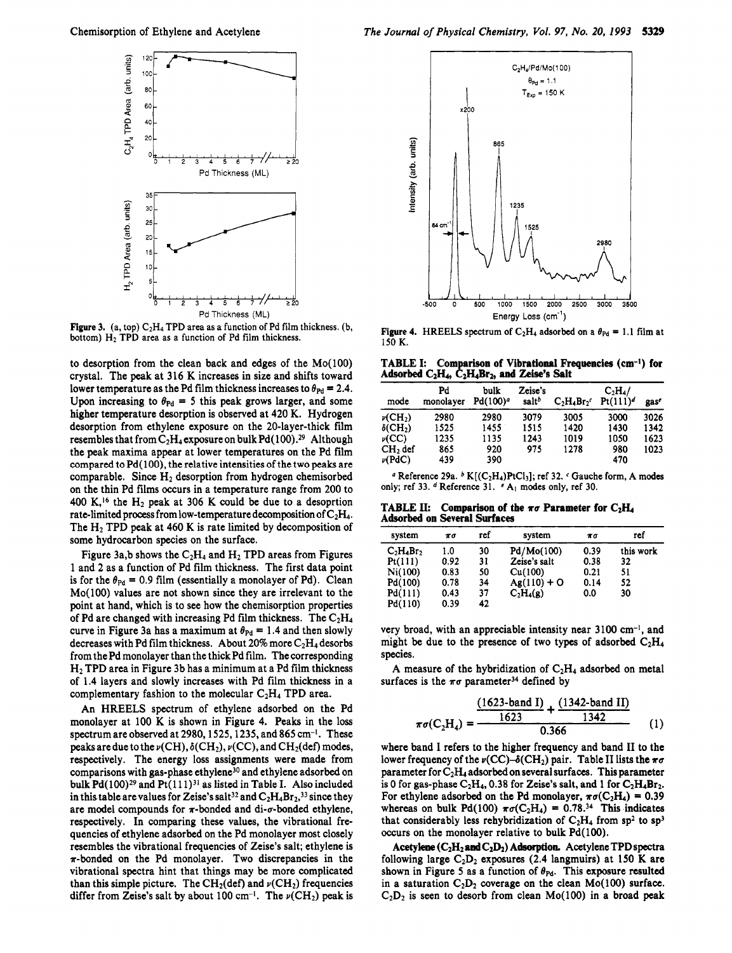

Figure 3. (a, top)  $C_2H_4$  TPD area as a function of Pd film thickness. (b, bottom)  $H_2$  TPD area as a function of Pd film thickness.

to desorption from the clean back and edges of the Mo(100) crystal. The peak at <sup>316</sup> K increases in size and shifts toward lower temperature as the Pd film thickness increases to  $\theta_{\text{Pd}} = 2.4$ . Upon increasing to  $\theta_{\text{Pd}} = 5$  this peak grows larger, and some higher temperature desorption is observed at 420 K. Hydrogen desorption from ethylene exposure on the 20-layer-thick film resembles that from  $C_2H_4$  exposure on bulk Pd(100).<sup>29</sup> Although the peak maxima appear at lower temperatures on the Pd film compared to Pd(100), the relative intensities of the two peaks are comparable. Since  $H_2$  desorption from hydrogen chemisorbed on the thin Pd films occurs in <sup>a</sup> temperature range from 200 to 400 K,<sup>16</sup> the H<sub>2</sub> peak at 306 K could be due to a desoprtion rate-limited process from low-temperature decomposition of  $C_2H_4$ . The  $H_2$  TPD peak at 460 K is rate limited by decomposition of some hydrocarbon species on the surface.

Figure 3a,b shows the  $C_2H_4$  and  $H_2$  TPD areas from Figures <sup>1</sup> and <sup>2</sup> as <sup>a</sup> function of Pd film thickness. The first data point is for the  $\theta_{\text{Pd}} = 0.9$  film (essentially a monolayer of Pd). Clean Mo(100) values are not shown since they are irrelevant to the point at hand, which is to see how the chemisorption properties of Pd are changed with increasing Pd film thickness. The  $C_2H_4$ curve in Figure 3a has a maximum at  $\theta_{\text{Pd}} = 1.4$  and then slowly decreases with Pd film thickness. About 20% more  $C_2H_4$  desorbs from the Pd monolayer than the thick Pd film. The corresponding H2 TPD area in Figure 3b has <sup>a</sup> minimum at <sup>a</sup> Pd film thickness of 1.4 layers and slowly increases with Pd film thickness in <sup>a</sup> complementary fashion to the molecular  $C_2H_4$  TPD area.

An HREELS spectrum of ethylene adsorbed on the Pd monolayer at <sup>100</sup> K is shown in Figure 4. Peaks in the loss spectrum are observed at 2980, 1525, 1235, and 865 cm $^{-1}$ . These peaks are due to the  $\nu$ (CH),  $\delta$ (CH<sub>2</sub>),  $\nu$ (CC), and CH<sub>2</sub>(def) modes, respectively. The energy loss assignments were made from comparisons with gas-phase ethylene<sup>30</sup> and ethylene adsorbed on bulk  $Pd(100)^{29}$  and  $Pt(111)^{31}$  as listed in Table I. Also included in this table are values for Zeise's salt<sup>32</sup> and  $C_2H_4Br_2$ <sup>33</sup> since they are model compounds for  $\pi$ -bonded and di- $\sigma$ -bonded ethylene, respectively. In comparing these values, the vibrational frequencies of ethylene adsorbed on the Pd monolayer most closely resembles the vibrational frequencies of Zeise's salt; ethylene is  $\pi$ -bonded on the Pd monolayer. Two discrepancies in the vibrational spectra hint that things may be more complicated than this simple picture. The CH<sub>2</sub>(def) and  $\nu$ (CH<sub>2</sub>) frequencies differ from Zeise's salt by about 100 cm<sup>-1</sup>. The  $\nu$ (CH<sub>2</sub>) peak is



Figure 4. HREELS spectrum of  $C_2H_4$  adsorbed on a  $\theta_{\text{Pd}} = 1.1$  film at 150 K.

TABLE I: Comparison of Vibrational Frequencies (cm-1) for Adsorbed  $C_2H_4$ ,  $C_2H_4Br_2$ , and Zeise's Salt

| mode                        | Pd<br>monolaver | bulk<br>Pd(100) <sup>a</sup> | Zeise's<br>salt <sup>b</sup> | $C_2H_4Br_2^c$ | $C_2H_4/$<br>Pt(111) <sup>d</sup> | gas <sup>e</sup> |
|-----------------------------|-----------------|------------------------------|------------------------------|----------------|-----------------------------------|------------------|
| $\nu$ (CH <sub>2</sub> )    | 2980            | 2980                         | 3079                         | 3005           | 3000                              | 3026             |
| $\delta$ (CH <sub>2</sub> ) | 1525            | 1455                         | 1515                         | 1420           | 1430                              | 1342             |
| $\nu$ (CC)                  | 1235            | 1135                         | 1243                         | 1019           | 1050                              | 1623             |
| $CH2$ def                   | 865             | 920                          | 975                          | 1278           | 980                               | 1023             |
| $\nu(PdC)$                  | 439             | 390                          |                              |                | 470                               |                  |

<sup>a</sup> Reference 29a.<sup>b</sup> K[(C<sub>2</sub>H<sub>4</sub>)PtCl<sub>3</sub>]; ref 32.<sup>c</sup> Gauche form, A modes only; ref 33.  $d$  Reference 31.  $f$  A<sub>1</sub> modes only, ref 30.

TABLE II: Comparison of the  $\pi\sigma$  Parameter for  $C_2H_4$ Adsorbed on Several Surfaces

| system    | πσ   | ref | system        | πσ   | ref       |
|-----------|------|-----|---------------|------|-----------|
| $C2H4Br2$ | 1.0  | 30  | Pd/Mo(100)    | 0.39 | this work |
| Pt(111)   | 0.92 | 31  | Zeise's salt  | 0.38 | 32        |
| Ni(100)   | 0.83 | 50  | Cu(100)       | 0.21 | 51        |
| Pd(100)   | 0.78 | 34  | $Ag(110) + O$ | 0.14 | 52        |
| Pd(111)   | 0.43 | 37  | $C_2H_4(g)$   | 0.0  | 30        |
| Pd(110)   | 0.39 | 42  |               |      |           |

very broad, with an appreciable intensity near  $3100 \text{ cm}^{-1}$ , and might be due to the presence of two types of adsorbed  $C_2H_4$ species.

A measure of the hybridization of  $C_2H_4$  adsorbed on metal surfaces is the  $\pi\sigma$  parameter<sup>34</sup> defined by

$$
\pi\sigma(C_2H_4) = \frac{\frac{(1623 \text{-band I})}{1623} + \frac{(1342 \text{-band II})}{1342}}{0.366} \tag{1}
$$

where band I refers to the higher frequency and band II to the lower frequency of the  $\nu$ (CC)- $\delta$ (CH<sub>2</sub>) pair. Table II lists the  $\pi\sigma$ parameter for  $C_2H_4$  adsorbed on several surfaces. This parameter is 0 for gas-phase  $C_2H_4$ , 0.38 for Zeise's salt, and 1 for  $C_2H_4Br_2$ . For ethylene adsorbed on the Pd monolayer,  $\pi\sigma(C_2H_4) = 0.39$ whereas on bulk Pd(100)  $\pi\sigma(C_2H_4) = 0.78^{34}$  This indicates that considerably less rehybridization of  $C_2H_4$  from  $sp^2$  to  $sp^3$ occurs on the monolayer relative to bulk Pd(100).

Acetylene  $(C_2H_2$  and  $C_2D_2$ ) Adsorption. Acetylene TPD spectra following large  $C_2D_2$  exposures (2.4 langmuirs) at 150 K are shown in Figure 5 as a function of  $\theta_{\text{Pd}}$ . This exposure resulted in a saturation  $C_2D_2$  coverage on the clean Mo(100) surface.  $C_2D_2$  is seen to desorb from clean Mo(100) in a broad peak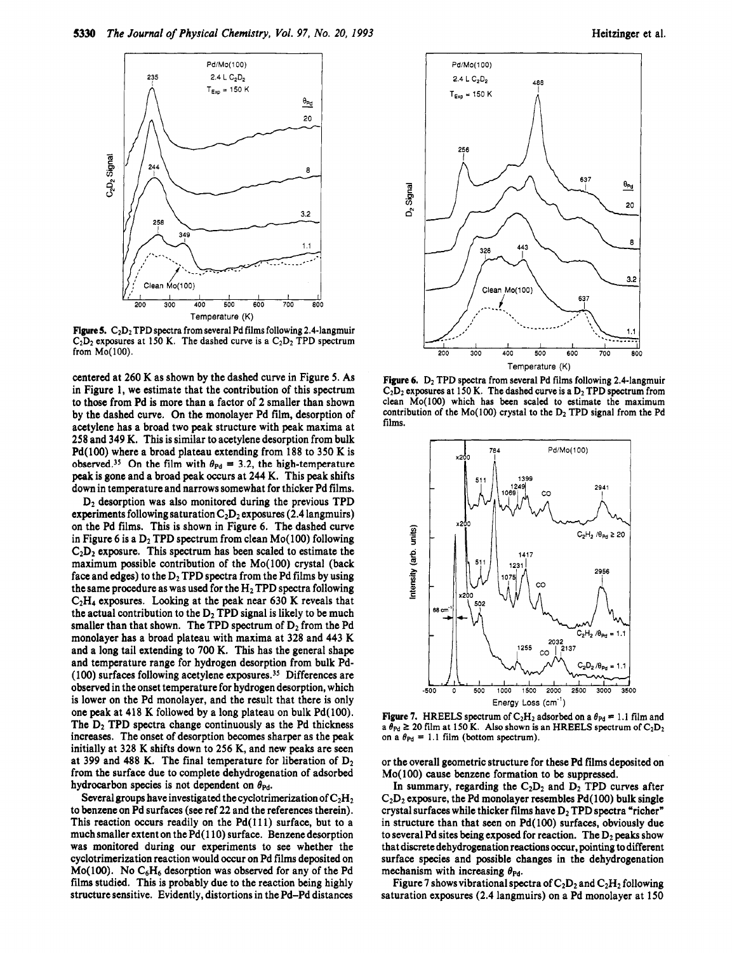

**Figure 5.**  $C_2D_2$  TPD spectra from several Pd films following 2.4-langmuir  $C_2D_2$  exposures at 150 K. The dashed curve is a  $C_2D_2$  TPD spectrum from Mo(100).

centered at 260 K as shown by the dashed curve in Figure 5. As in Figure 1, we estimate that the contribution of this spectrum to those from Pd is more than a factor of 2 smaller than shown by the dashed curve. On the monolayer Pd film, desorption of acetylene has <sup>a</sup> broad two peak structure with peak maxima at 258 and 349 K. This is similar to acetylene desorption from bulk Pd(100) where <sup>a</sup> broad plateau extending from <sup>188</sup> to 350 K is observed.<sup>35</sup> On the film with  $\theta_{\text{Pd}} = 3.2$ , the high-temperature peak is gone and <sup>a</sup> broad peak occurs at 244 K. This peak shifts down in temperature and narrows somewhat for thicker Pd films.

 $D_2$  desorption was also monitored during the previous TPD experiments following saturation  $C_2D_2$  exposures (2.4 langmuirs) on the Pd films. This is shown in Figure 6. The dashed curve in Figure 6 is a  $D_2$  TPD spectrum from clean Mo(100) following  $C_2D_2$  exposure. This spectrum has been scaled to estimate the maximum possible contribution of the Mo(100) crystal (back face and edges) to the  $D_2$  TPD spectra from the Pd films by using the same procedure as was used for the  $H_2$  TPD spectra following  $C_2H_4$  exposures. Looking at the peak near 630 K reveals that the actual contribution to the  $D_2$  TPD signal is likely to be much smaller than that shown. The TPD spectrum of  $D_2$  from the Pd monolayer has <sup>a</sup> broad plateau with maxima at <sup>328</sup> and <sup>443</sup> K and <sup>a</sup> long tail extending to 700 K. This has the general shape and temperature range for hydrogen desorption from bulk Pd- (100) surfaces following acetylene exposures.35 Differences are observed in the onset temperature for hydrogen desorption, which is lower on the Pd monolayer, and the result that there is only one peak at <sup>418</sup> K followed by <sup>a</sup> long plateau on bulk Pd(100). The  $D<sub>2</sub>$  TPD spectra change continuously as the Pd thickness increases. The onset of desorption becomes sharper as the peak initially at <sup>328</sup> K shifts down to 256 K, and new peaks are seen at 399 and 488 K. The final temperature for liberation of  $D_2$ from the surface due to complete dehydrogenation of adsorbed hydrocarbon species is not dependent on  $\theta_{\text{Pd}}$ .

Several groups have investigated the cyclotrimerization of  $C_2H_2$ to benzene on Pd surfaces (see ref <sup>22</sup> and the references therein). This reaction occurs readily on the  $Pd(111)$  surface, but to a much smaller extent on the Pd(110) surface. Benzene desorption was monitored during our experiments to see whether the cyclotrimerization reaction would occur on Pd films deposited on Mo(100). No  $C_6H_6$  desorption was observed for any of the Pd films studied. This is probably due to the reaction being highly structure sensitive. Evidently, distortions in the Pd-Pd distances



 $T_{Exp} = 150 K$ 637 Signal  $\frac{\theta_{\text{Pd}}}{\sigma}$ 20 c, 8 443 328  $3.2$ Clean Mo(100) 637 200 300 400 500 600 700  $\overline{800}$ Temperature (K)

Pd/Mo(100)

 $2.4 L C<sub>2</sub>D<sub>2</sub>$ 

Figure 6.  $D_2$  TPD spectra from several Pd films following 2.4-langmuir  $C_2D_2$  exposures at 150 K. The dashed curve is a  $D_2$  TPD spectrum from clean Mo(100) which has been scaled to estimate the maximum contribution of the Mo(100) crystal to the  $D_2$  TPD signal from the Pd films.



**Figure 7.** HREELS spectrum of  $C_2H_2$  adsorbed on a  $\theta_{\text{Pd}} = 1.1$  film and a  $\theta_{\text{Pd}} \ge 20$  film at 150 K. Also shown is an HREELS spectrum of  $C_2D_2$ on a  $\theta_{\text{Pd}} = 1.1$  film (bottom spectrum).

or the overall geometric structure for these Pd films deposited on Mo(100) cause benzene formation to be suppressed.

In summary, regarding the  $C_2D_2$  and  $D_2$  TPD curves after  $C_2D_2$  exposure, the Pd monolayer resembles Pd(100) bulk single crystal surfaces while thicker films have D<sub>2</sub> TPD spectra "richer" in structure than that seen on Pd(100) surfaces, obviously due to several Pd sites being exposed for reaction. The  $D_2$  peaks show that discrete dehydrogenation reactions occur, pointing to different surface species and possible changes in the dehydrogenation mechanism with increasing  $\theta_{\text{Pd}}$ .

Figure 7 shows vibrational spectra of  $C_2D_2$  and  $C_2H_2$  following saturation exposures (2.4 langmuirs) on <sup>a</sup> Pd monolayer at 150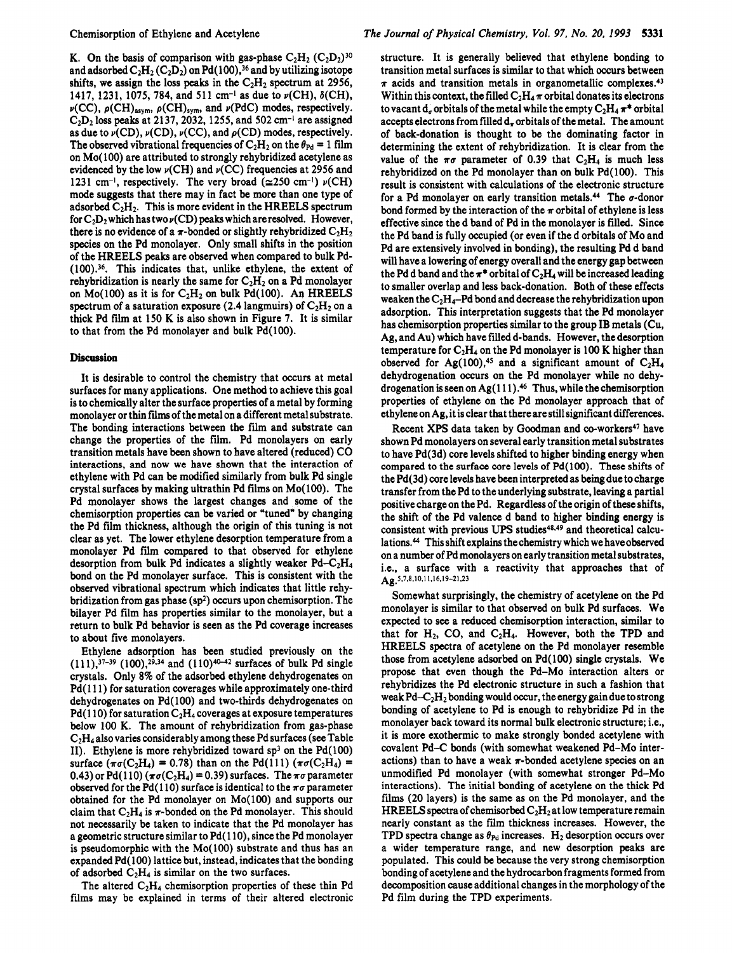K. On the basis of comparison with gas-phase  $C_2H_2 (C_2D_2)^{30}$ and adsorbed  $C_2H_2(C_2D_2)$  on Pd(100),<sup>36</sup> and by utilizing isotope shifts, we assign the loss peaks in the  $C_2H_2$  spectrum at 2956, 1417, 1231, 1075, 784, and 511 cm<sup>-1</sup> as due to  $\nu$ (CH),  $\delta$ (CH),  $\nu(CC)$ ,  $\rho(CH)_{asym}$ ,  $\rho(CH)_{sym}$ , and  $\nu(PdC)$  modes, respectively.  $C_2D_2$  loss peaks at 2137, 2032, 1255, and 502 cm<sup>-1</sup> are assigned as due to  $\nu(CD)$ ,  $\nu(CD)$ ,  $\nu(CC)$ , and  $\rho(CD)$  modes, respectively. The observed vibrational frequencies of  $C_2H_2$  on the  $\theta_{\text{Pd}} = 1$  film on Mo(100) are attributed to strongly rehybridized acetylene as evidenced by the low  $\nu$ (CH) and  $\nu$ (CC) frequencies at 2956 and 1231 cm<sup>-1</sup>, respectively. The very broad ( $\approx$ 250 cm<sup>-1</sup>)  $\nu$ (CH) mode suggests that there may in fact be more than one type of adsorbed  $C_2H_2$ . This is more evident in the HREELS spectrum for  $C_2D_2$  which has two  $\nu$ (CD) peaks which are resolved. However, there is no evidence of a  $\pi$ -bonded or slightly rehybridized  $C_2H_2$ species on the Pd monolayer. Only small shifts in the position of the HREELS peaks are observed when compared to bulk Pd- (100).36. This indicates that, unlike ethylene, the extent of rehybridization is nearly the same for  $C_2H_2$  on a Pd monolayer on  $Mo(100)$  as it is for  $C_2H_2$  on bulk Pd(100). An HREELS spectrum of a saturation exposure (2.4 langmuirs) of  $C_2H_2$  on a thick Pd film at <sup>150</sup> K is also shown in Figure 7. It is similar to that from the Pd monolayer and bulk Pd(100).

### Discussion

It is desirable to control the chemistry that occurs at metal surfaces for many applications. One method to achieve this goal is to chemically alter the surface properties of <sup>a</sup> metal by forming monolayer or thin films of the metal on <sup>a</sup> different metal substrate. The bonding interactions between the film and substrate can change the properties of the film. Pd monolayers on early transition metals have been shown to have altered (reduced) CO interactions, and now we have shown that the interaction of ethylene with Pd can be modified similarly from bulk Pd single crystal surfaces by making ultrathin Pd films on Mo(100). The Pd monolayer shows the largest changes and some of the chemisorption properties can be varied or "tuned" by changing the Pd film thickness, although the origin of this tuning is not clear as yet. The lower ethylene desorption temperature from <sup>a</sup> monolayer Pd film compared to that observed for ethylene desorption from bulk Pd indicates a slightly weaker  $Pd-C_2H_4$ bond on the Pd monolayer surface. This is consistent with the observed vibrational spectrum which indicates that little rehybridization from gas phase  $(sp<sup>2</sup>)$  occurs upon chemisorption. The bilayer Pd film has properties similar to the monolayer, but <sup>a</sup> return to bulk Pd behavior is seen as the Pd coverage increases to about five monolayers.

Ethylene adsorption has been studied previously on the  $(111),$ <sup>37-39</sup> (100),<sup>29,34</sup> and (110)<sup>40-42</sup> surfaces of bulk Pd single crystals. Only 8% of the adsorbed ethylene dehydrogenates on Pd(111) for saturation coverages while approximately one-third dehydrogenates on Pd(100) and two-thirds dehydrogenates on  $Pd(110)$  for saturation  $C_2H_4$  coverages at exposure temperatures below <sup>100</sup> K. The amount of rehybridization from gas-phase  $C_2H_4$  also varies considerably among these Pd surfaces (see Table II). Ethylene is more rehybridized toward sp3 on the Pd(100) surface  $(\pi\sigma(C_2H_4) = 0.78)$  than on the Pd(111)  $(\pi\sigma(C_2H_4) =$ 0.43) or Pd(110) ( $\pi\sigma(C_2H_4) = 0.39$ ) surfaces. The  $\pi\sigma$  parameter observed for the Pd(110) surface is identical to the  $\pi\sigma$  parameter obtained for the Pd monolayer on Mo(100) and supports our claim that  $C_2H_4$  is  $\pi$ -bonded on the Pd monolayer. This should not necessarily be taken to indicate that the Pd monolayer has <sup>a</sup> geometric structure similar to Pd( 110), since the Pd monolayer is pseudomorphic with the Mo(100) substrate and thus has an expanded Pd( 100) lattice but, instead, indicates that the bonding of adsorbed  $C_2H_4$  is similar on the two surfaces.

The altered  $C_2H_4$  chemisorption properties of these thin Pd films may be explained in terms of their altered electronic structure. It is generally believed that ethylene bonding to transition metal surfaces is similar to that which occurs between  $\pi$  acids and transition metals in organometallic complexes.<sup>43</sup> Within this context, the filled  $C_2H_4 \pi$  orbital donates its electrons to vacant  $d_{\sigma}$  orbitals of the metal while the empty  $C_2H_4 \pi^*$  orbital accepts electrons from filled  $d<sub>x</sub>$  orbitals of the metal. The amount of back-donation is thought to be the dominating factor in determining the extent of rehybridization. It is clear from the value of the  $\pi\sigma$  parameter of 0.39 that C<sub>2</sub>H<sub>4</sub> is much less rehybridized on the Pd monolayer than on bulk Pd(100). This result is consistent with calculations of the electronic structure for a Pd monolayer on early transition metals.<sup>44</sup> The  $\sigma$ -donor bond formed by the interaction of the  $\pi$  orbital of ethylene is less effective since the d band of Pd in the monolayer is filled. Since the Pd band is fully occupied (or even if the <sup>d</sup> orbitals of Mo and Pd are extensively involved in bonding), the resulting Pd d band will have <sup>a</sup> lowering of energy overall and the energy gap between the Pd d band and the  $\pi^*$  orbital of  $C_2H_4$  will be increased leading to smaller overlap and less back-donation. Both of these effects weaken the  $C_2H_4$ -Pd bond and decrease the rehybridization upon adsorption. This interpretation suggests that the Pd monolayer has chemisorption properties similar to the group IB metals (Cu, Ag, and Au) which have filled d-bands. However, the desorption temperature for  $C_2H_4$  on the Pd monolayer is 100 K higher than observed for Ag(100),<sup>45</sup> and a significant amount of  $C_2H_4$ dehydrogenation occurs on the Pd monolayer while no dehydrogenation is seen on Ag(111).<sup>46</sup> Thus, while the chemisorption properties of ethylene on the Pd monolayer approach that of ethylene on Ag, it is clear that there are still significant differences.

Recent XPS data taken by Goodman and co-workers<sup>47</sup> have shown Pd monolayers on several early transition metal substrates to have Pd(3d) core levels shifted to higher binding energy when compared to the surface core levels of Pd(100). These shifts of the Pd(3d) core levels have been interpreted as being due to charge transfer from the Pd to the underlying substrate, leaving <sup>a</sup> partial positive charge on the Pd. Regardless of the origin of these shifts, the shift of the Pd valence <sup>d</sup> band to higher binding energy is consistent with previous UPS studies<sup>48,49</sup> and theoretical calculations.44 This shift explains the chemistry which we have observed on <sup>a</sup> number of Pd monolayers on early transition metal substrates, i.e., <sup>a</sup> surface with <sup>a</sup> reactivity that approaches that of Ag.<sup>5,7,8,10,11,16,19-21,23</sup>

Somewhat surprisingly, the chemistry of acetylene on the Pd monolayer is similar to that observed on bulk Pd surfaces. We expected to see <sup>a</sup> reduced chemisorption interaction, similar to that for  $H_2$ , CO, and  $C_2H_4$ . However, both the TPD and HREELS spectra of acetylene on the Pd monolayer resemble those from acetylene adsorbed on Pd(100) single crystals. We propose that even though the Pd-Mo interaction alters or rehybridizes the Pd electronic structure in such <sup>a</sup> fashion that weak  $Pd-C<sub>2</sub>H<sub>2</sub>$  bonding would occur, the energy gain due to strong bonding of acetylene to Pd is enough to rehybridize Pd in the monolayer back toward its normal bulk electronic structure; i.e., it is more exothermic to make strongly bonded acetylene with covalent Pd-C bonds (with somewhat weakened Pd-Mo interactions) than to have a weak  $\pi$ -bonded acetylene species on an unmodified Pd monolayer (with somewhat stronger Pd-Mo interactions). The initial bonding of acetylene on the thick Pd films (20 layers) is the same as on the Pd monolayer, and the HREELS spectra of chemisorbed  $C_2H_2$  at low temperature remain nearly constant as the film thickness increases. However, the TPD spectra change as  $\theta_{\text{Pd}}$  increases. H<sub>2</sub> desorption occurs over <sup>a</sup> wider temperature range, and new desorption peaks are populated. This could be because the very strong chemisorption bonding of acetylene and the hydrocarbon fragments formed from decomposition cause additional changes in the morphology of the Pd film during the TPD experiments.